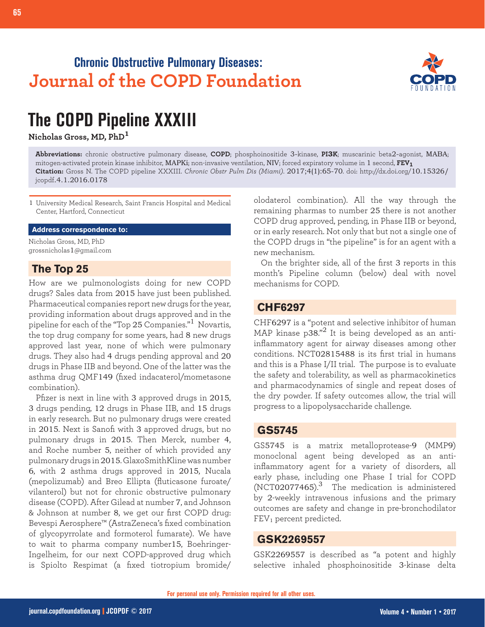## **Chronic Obstructive Pulmonary Diseases: Journal of the COPD Foundation**



# **The COPD Pipeline XXXIII**

**Nicholas Gross, MD, PhD<sup>1</sup>**

**Abbreviations:** chronic obstructive pulmonary disease, **COPD**; phosphoinositide 3-kinase, **PI3K**; muscarinic beta2-agonist, MABA; mitogen-activated protein kinase inhibitor, MAPKi; non-invasive ventilation, NIV; forced expiratory volume in 1 second, **FEV1 Citation:** Gross N. The COPD pipeline XXXIII. *Chronic Obstr Pulm Dis (Miami)*. 2017;4(1):65-70. doi: http://dx.doi.org/10.15326/ jcopdf.4.1.2016.0178

1 University Medical Research, Saint Francis Hospital and Medical Center, Hartford, Connecticut

#### **Address correspondence to:**

Nicholas Gross, MD, PhD grossnicholas1@gmail.com

#### **The Top 25**

How are we pulmonologists doing for new COPD drugs? Sales data from 2015 have just been published. Pharmaceutical companies report new drugs for the year, providing information about drugs approved and in the pipeline for each of the "Top 25 Companies."1 Novartis, the top drug company for some years, had 8 new drugs approved last year, none of which were pulmonary drugs. They also had 4 drugs pending approval and 20 drugs in Phase IIB and beyond. One of the latter was the asthma drug QMF149 (fixed indacaterol/mometasone combination).

Pfizer is next in line with 3 approved drugs in 2015, 3 drugs pending, 12 drugs in Phase IIB, and 15 drugs in early research. But no pulmonary drugs were created in 2015. Next is Sanofi with 3 approved drugs, but no pulmonary drugs in 2015. Then Merck, number 4, and Roche number 5, neither of which provided any pulmonary drugs in 2015. GlaxoSmithKline was number 6, with 2 asthma drugs approved in 2015, Nucala (mepolizumab) and Breo Ellipta (fluticasone furoate/ vilanterol) but not for chronic obstructive pulmonary disease (COPD). After Gilead at number 7, and Johnson & Johnson at number 8, we get our first COPD drug: Bevespi Aerosphere™ (AstraZeneca's fixed combination of glycopyrrolate and formoterol fumarate). We have to wait to pharma company number15, Boehringer-Ingelheim, for our next COPD-approved drug which is Spiolto Respimat (a fixed tiotropium bromide/

olodaterol combination). All the way through the remaining pharmas to number 25 there is not another COPD drug approved, pending, in Phase IIB or beyond, or in early research. Not only that but not a single one of the COPD drugs in "the pipeline" is for an agent with a new mechanism.

On the brighter side, all of the first 3 reports in this month's Pipeline column (below) deal with novel mechanisms for COPD.

#### **CHF6297**

CHF6297 is a "potent and selective inhibitor of human MAP kinase  $p38."$ <sup>2</sup> It is being developed as an antiinflammatory agent for airway diseases among other conditions. NCT02815488 is its first trial in humans and this is a Phase I/II trial. The purpose is to evaluate the safety and tolerability, as well as pharmacokinetics and pharmacodynamics of single and repeat doses of the dry powder. If safety outcomes allow, the trial will progress to a lipopolysaccharide challenge.

#### **GS5745**

GS5745 is a matrix metalloprotease-9 (MMP9) monoclonal agent being developed as an antiinflammatory agent for a variety of disorders, all early phase, including one Phase I trial for COPD (NCT02077465).3 The medication is administered by 2-weekly intravenous infusions and the primary outcomes are safety and change in pre-bronchodilator FEV1 percent predicted.

#### **GSK2269557**

GSK2269557 is described as "a potent and highly selective inhaled phosphoinositide 3-kinase delta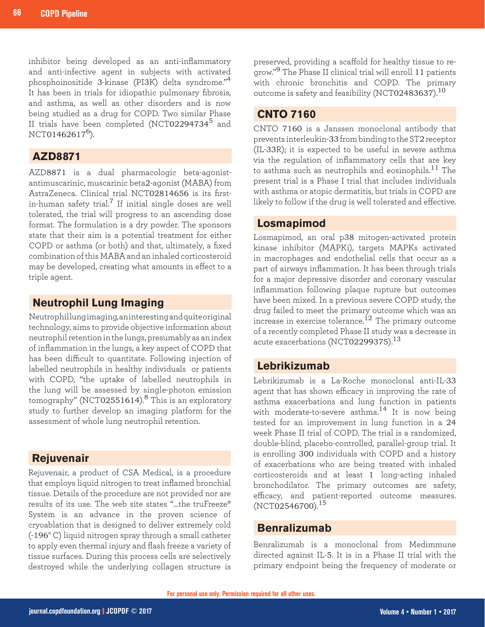inhibitor being developed as an anti-inflammatory and anti-infective agent in subjects with activated phosphoinositide 3-kinase (PI3K) delta syndrome."<sup>4</sup> It has been in trials for idiopathic pulmonary fibrosis, and asthma, as well as other disorders and is now being studied as a drug for COPD. Two similar Phase II trials have been completed (NCT022947345 and  $NCT01462617^6$ ).

#### **AZD8871**

AZD8871 is a dual pharmacologic beta-agonistantimuscarinic, muscarinic beta2-agonist (MABA) from AstraZeneca. Clinical trial NCT02814656 is its firstin-human safety trial.<sup>7</sup> If initial single doses are well tolerated, the trial will progress to an ascending dose format. The formulation is a dry powder. The sponsors state that their aim is a potential treatment for either COPD or asthma (or both) and that, ultimately, a fixed combination of this MABA and an inhaled corticosteroid may be developed, creating what amounts in effect to a triple agent.

#### **Neutrophil Lung Imaging**

Neutrophil lung imaging, an interesting and quite original technology, aims to provide objective information about neutrophil retention in the lungs, presumably as an index of inflammation in the lungs, a key aspect of COPD that has been difficult to quantitate. Following injection of labelled neutrophils in healthy individuals or patients with COPD, "the uptake of labelled neutrophils in the lung will be assessed by single-photon emission tomography" (NCT02551614).8 This is an exploratory study to further develop an imaging platform for the assessment of whole lung neutrophil retention.

#### **Rejuvenair**

Rejuvenair, a product of CSA Medical, is a procedure that employs liquid nitrogen to treat inflamed bronchial tissue. Details of the procedure are not provided nor are results of its use. The web site states "…the truFreeze® System is an advance in the proven science of cryoablation that is designed to deliver extremely cold (-196° C) liquid nitrogen spray through a small catheter to apply even thermal injury and flash freeze a variety of tissue surfaces. During this process cells are selectively destroyed while the underlying collagen structure is

preserved, providing a scaffold for healthy tissue to regrow."9 The Phase II clinical trial will enroll 11 patients with chronic bronchitis and COPD. The primary outcome is safety and feasibility (NCT02483637). $^{10}$ 

#### **CNTO 7160**

CNTO 7160 is a Janssen monoclonal antibody that prevents interleukin-33 from binding to the ST2 receptor (IL-33R); it is expected to be useful in severe asthma via the regulation of inflammatory cells that are key to asthma such as neutrophils and eosinophils.<sup>11</sup> The present trial is a Phase I trial that includes individuals with asthma or atopic dermatitis, but trials in COPD are likely to follow if the drug is well tolerated and effective.

#### **Losmapimod**

Losmapimod, an oral p38 mitogen-activated protein kinase inhibitor (MAPKi), targets MAPKs activated in macrophages and endothelial cells that occur as a part of airways inflammation. It has been through trials for a major depressive disorder and coronary vascular inflammation following plaque rupture but outcomes have been mixed. In a previous severe COPD study, the drug failed to meet the primary outcome which was an increase in exercise tolerance. $^{12}$  The primary outcome of a recently completed Phase II study was a decrease in acute exacerbations (NCT02299375).  $^{13}$ 

#### **Lebrikizumab**

Lebrikizumab is a La-Roche monoclonal anti-IL-33 agent that has shown efficacy in improving the rate of asthma exacerbations and lung function in patients with moderate-to-severe asthma.14 It is now being tested for an improvement in lung function in a 24 week Phase II trial of COPD. The trial is a randomized, double-blind, placebo-controlled, parallel-group trial. It is enrolling 300 individuals with COPD and a history of exacerbations who are being treated with inhaled corticosteroids and at least 1 long-acting inhaled bronchodilator. The primary outcomes are safety, efficacy, and patient-reported outcome measures. (NCT02546700).<sup>15</sup>

#### **Benralizumab**

Benralizumab is a monoclonal from Medimmune directed against IL-5. It is in a Phase II trial with the primary endpoint being the frequency of moderate or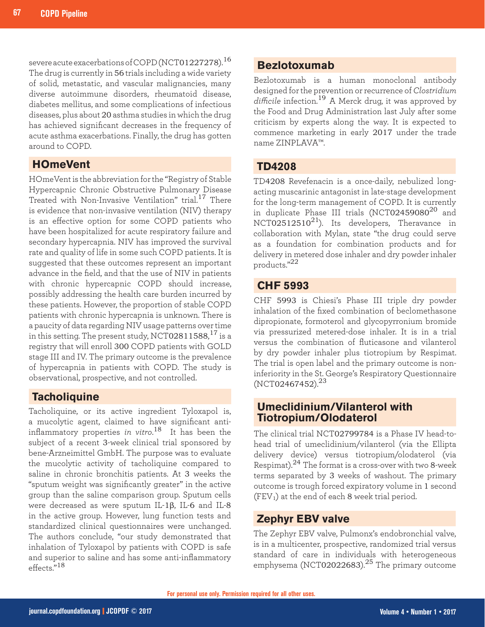severe acute exacerbations of COPD (NCT01227278).<sup>16</sup> The drug is currently in 56 trials including a wide variety of solid, metastatic, and vascular malignancies, many diverse autoimmune disorders, rheumatoid disease, diabetes mellitus, and some complications of infectious diseases, plus about 20 asthma studies in which the drug has achieved significant decreases in the frequency of acute asthma exacerbations. Finally, the drug has gotten around to COPD.

### **HOmeVent**

HOmeVent is the abbreviation for the "Registry of Stable Hypercapnic Chronic Obstructive Pulmonary Disease Treated with Non-Invasive Ventilation" trial.<sup>17</sup> There is evidence that non-invasive ventilation (NIV) therapy is an effective option for some COPD patients who have been hospitalized for acute respiratory failure and secondary hypercapnia. NIV has improved the survival rate and quality of life in some such COPD patients. It is suggested that these outcomes represent an important advance in the field, and that the use of NIV in patients with chronic hypercapnic COPD should increase, possibly addressing the health care burden incurred by these patients. However, the proportion of stable COPD patients with chronic hypercapnia is unknown. There is a paucity of data regarding NIV usage patterns over time in this setting. The present study, NCT02811588, $^{\rm 17}$  is a registry that will enroll 300 COPD patients with GOLD stage III and IV. The primary outcome is the prevalence of hypercapnia in patients with COPD. The study is observational, prospective, and not controlled.

#### **Tacholiquine**

Tacholiquine, or its active ingredient Tyloxapol is, a mucolytic agent, claimed to have significant antiinflammatory properties *in vitro*. <sup>18</sup> It has been the subject of a recent 3-week clinical trial sponsored by bene-Arzneimittel GmbH. The purpose was to evaluate the mucolytic activity of tacholiquine compared to saline in chronic bronchitis patients. At 3 weeks the "sputum weight was significantly greater" in the active group than the saline comparison group. Sputum cells were decreased as were sputum IL-1β, IL-6 and IL-8 in the active group. However, lung function tests and standardized clinical questionnaires were unchanged. The authors conclude, "our study demonstrated that inhalation of Tyloxapol by patients with COPD is safe and superior to saline and has some anti-inflammatory effects."<sup>18</sup>

#### **Bezlotoxumab**

Bezlotoxumab is a human monoclonal antibody designed for the prevention or recurrence of *Clostridium difficile* infection.<sup>19</sup> A Merck drug, it was approved by the Food and Drug Administration last July after some criticism by experts along the way. It is expected to commence marketing in early 2017 under the trade name ZINPLAVA™.

#### **TD4208**

TD4208 Revefenacin is a once-daily, nebulized longacting muscarinic antagonist in late-stage development for the long-term management of COPD. It is currently in duplicate Phase III trials (NCT02459080 $^{20}$  and NCT02512510<sup>21</sup>). Its developers, Theravance in collaboration with Mylan, state "the drug could serve as a foundation for combination products and for delivery in metered dose inhaler and dry powder inhaler products."<sup>22</sup>

#### **CHF 5993**

CHF 5993 is Chiesi's Phase III triple dry powder inhalation of the fixed combination of beclomethasone dipropionate, formoterol and glycopyrronium bromide via pressurized metered-dose inhaler. It is in a trial versus the combination of fluticasone and vilanterol by dry powder inhaler plus tiotropium by Respimat. The trial is open label and the primary outcome is noninferiority in the St. George's Respiratory Questionnaire  $(NCT02467452).^{23}$ 

#### **Umeclidinium/Vilanterol with Tiotropium/Olodaterol**

The clinical trial NCT02799784 is a Phase IV head-tohead trial of umeclidinium/vilanterol (via the Ellipta delivery device) versus tiotropium/olodaterol (via Respimat).<sup>24</sup> The format is a cross-over with two 8-week terms separated by 3 weeks of washout. The primary outcome is trough forced expiratory volume in 1 second  $(FEV<sub>1</sub>)$  at the end of each 8 week trial period.

#### **Zephyr EBV valve**

The Zephyr EBV valve, Pulmonx's endobronchial valve, is in a multicenter, prospective, randomized trial versus standard of care in individuals with heterogeneous emphysema (NCT02022683).25 The primary outcome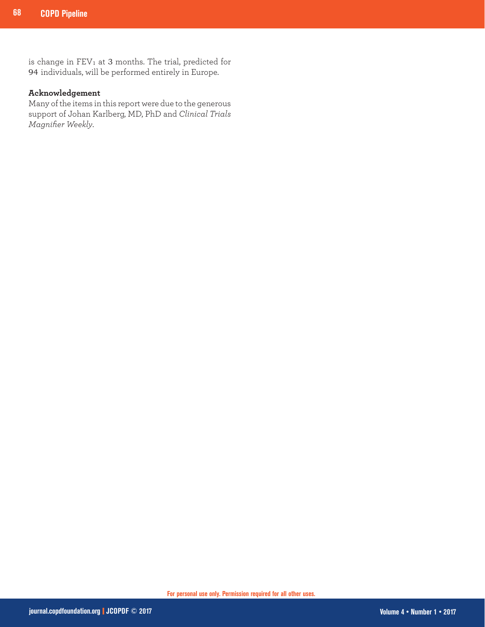is change in  $FEV<sub>1</sub>$  at 3 months. The trial, predicted for 94 individuals, will be performed entirely in Europe.

#### **Acknowledgement**

Many of the items in this report were due to the generous support of Johan Karlberg, MD, PhD and *Clinical Trials Magnifier Weekly*.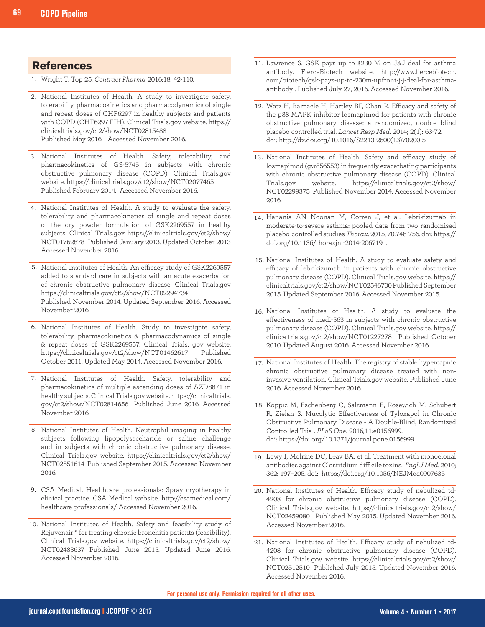#### **References**

- Wright T. Top 25. *Contract Pharma* 2016;18: 42-110. 1.
- 2. National Institutes of Health. A study to investigate safety, tolerability, pharmacokinetics and pharmacodynamics of single and repeat doses of CHF6297 in healthy subjects and patients with COPD (CHF6297 FIH). Clinical Trials.gov website. https:// clinicaltrials.gov/ct2/show/NCT02815488 Published May 2016. Accessed November 2016.
- National Institutes of Health. Safety, tolerability, and 3. pharmacokinetics of GS-5745 in subjects with chronic obstructive pulmonary disease (COPD). Clinical Trials.gov website. https://clinicaltrials.gov/ct2/show/NCT02077465 Published February 2014. Accessed November 2016.
- National Institutes of Health. A study to evaluate the safety, 4. tolerability and pharmacokinetics of single and repeat doses of the dry powder formulation of GSK2269557 in healthy subjects. Clinical Trials.gov https://clinicaltrials.gov/ct2/show/ NCT01762878 Published January 2013. Updated October 2013 Accessed November 2016.
- 5. National Institutes of Health. An efficacy study of GSK2269557 added to standard care in subjects with an acute exacerbation of chronic obstructive pulmonary disease. Clinical Trials.gov https://clinicaltrials.gov/ct2/show/NCT02294734 Published November 2014. Updated September 2016. Accessed November 2016.
- 6. National Institutes of Health. Study to investigate safety, tolerability, pharmacokinetics & pharmacodynamics of single & repeat doses of GSK2269557. Clinical Trials. gov website. https://clinicaltrials.gov/ct2/show/NCT01462617 Published October 2011. Updated May 2014. Accessed November 2016.
- 7. National Institutes of Health. Safety, tolerability and pharmacokinetics of multiple ascending doses of AZD8871 in healthy subjects. Clinical Trials.gov website. https://clinicaltrials. gov/ct2/show/NCT02814656 Published June 2016. Accessed November 2016.
- 8. National Institutes of Health. Neutrophil imaging in healthy subjects following lipopolysaccharide or saline challenge and in subjects with chronic obstructive pulmonary disease. Clinical Trials.gov website. https://clinicaltrials.gov/ct2/show/ NCT02551614 Published September 2015. Accessed November 2016.
- CSA Medical. Healthcare professionals: Spray cryotherapy in 9. clinical practice. CSA Medical website. http://csamedical.com/ healthcare-professionals/ Accessed November 2016.
- 10. National Institutes of Health. Safety and feasibility study of Rejuvenair™ for treating chronic bronchitis patients (feasibility). Clinical Trials.gov website. https://clinicaltrials.gov/ct2/show/ NCT02483637 Published June 2015. Updated June 2016. Accessed November 2016.
- 11. Lawrence S. GSK pays up to \$230 M on J&J deal for asthma antibody. FierceBiotech website. http://www.fiercebiotech. com/biotech/gsk-pays-up-to-230m-upfront-j-j-deal-for-asthmaantibody . Published July 27, 2016. Accessed November 2016.
- 12. Watz H, Barnacle H, Hartley BF, Chan R. Efficacy and safety of the p38 MAPK inhibitor losmapimod for patients with chronic obstructive pulmonary disease: a randomized, double blind placebo controlled trial. *Lancet Resp Med*. 2014; 2(1): 63-72. doi: http://dx.doi.org/10.1016/S2213-2600(13)70200-5
- 13. National Institutes of Health. Safety and efficacy study of losmapimod (gw856553) in frequently exacerbating participants with chronic obstructive pulmonary disease (COPD). Clinical Trials.gov website. https://clinicaltrials.gov/ct2/show/ NCT02299375 Published November 2014. Accessed November 2016.
- 14. Hanania AN Noonan M, Corren J, et al. Lebrikizumab in moderate-to-severe asthma: pooled data from two randomised placebo-controlled studies *Thorax*. 2015; 70:748-756. doi: https:// doi.org/10.1136/thoraxjnl-2014-206719 .
- 15. National Institutes of Health. A study to evaluate safety and efficacy of lebrikizumab in patients with chronic obstructive pulmonary disease (COPD). Clinical Trials.gov website. https:// clinicaltrials.gov/ct2/show/NCT02546700 Published September 2015. Updated September 2016. Accessed November 2015.
- 16. National Institutes of Health. A study to evaluate the effectiveness of medi-563 in subjects with chronic obstructive pulmonary disease (COPD). Clinical Trials.gov website. https:// clinicaltrials.gov/ct2/show/NCT01227278 Published October 2010. Updated August 2016. Accessed November 2016.
- 17. National Institutes of Health. The registry of stable hypercapnic chronic obstructive pulmonary disease treated with noninvasive ventilation. Clinical Trials.gov website. Published June 2016. Accessed November 2016.
- 18. Koppiz M, Eschenberg C, Salzmann E, Rosewich M, Schubert R, Zielan S. Mucolytic Effectiveness of Tyloxapol in Chronic Obstructive Pulmonary Disease - A Double-Blind, Randomized Controlled Trial. *PLoS One*. 2016;11:e0156999. doi: https://doi.org/10.1371/journal.pone.0156999 .
- 19. Lowy I, Molrine DC, Leav BA, et al. Treatment with monoclonal antibodies against Clostridium difficile toxins. *Engl J Med*. 2010; 362: 197–205. doi: https://doi.org/10.1056/NEJMoa0907635
- 20. National Institutes of Health. Efficacy study of nebulized td-4208 for chronic obstructive pulmonary disease (COPD). Clinical Trials.gov website. https://clinicaltrials.gov/ct2/show/ NCT02459080 Published May 2015. Updated November 2016. Accessed November 2016.
- National Institutes of Health. Efficacy study of nebulized td-21. 4208 for chronic obstructive pulmonary disease (COPD). Clinical Trials.gov website. https://clinicaltrials.gov/ct2/show/ NCT02512510 Published July 2015. Updated November 2016. Accessed November 2016.